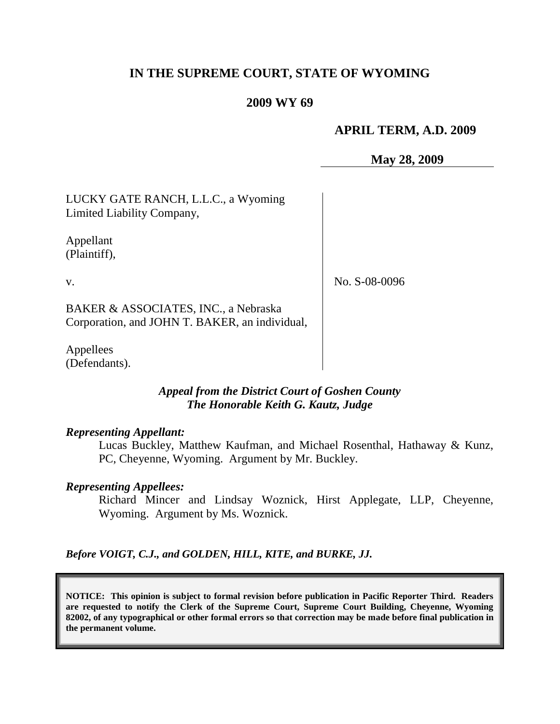## **IN THE SUPREME COURT, STATE OF WYOMING**

#### **2009 WY 69**

## **APRIL TERM, A.D. 2009**

**May 28, 2009**

LUCKY GATE RANCH, L.L.C., a Wyoming Limited Liability Company,

Appellant (Plaintiff),

v.

No. S-08-0096

BAKER & ASSOCIATES, INC., a Nebraska Corporation, and JOHN T. BAKER, an individual,

Appellees (Defendants).

## *Appeal from the District Court of Goshen County The Honorable Keith G. Kautz, Judge*

#### *Representing Appellant:*

Lucas Buckley, Matthew Kaufman, and Michael Rosenthal, Hathaway & Kunz, PC, Cheyenne, Wyoming. Argument by Mr. Buckley.

#### *Representing Appellees:*

Richard Mincer and Lindsay Woznick, Hirst Applegate, LLP, Cheyenne, Wyoming. Argument by Ms. Woznick.

*Before VOIGT, C.J., and GOLDEN, HILL, KITE, and BURKE, JJ.*

**NOTICE: This opinion is subject to formal revision before publication in Pacific Reporter Third. Readers are requested to notify the Clerk of the Supreme Court, Supreme Court Building, Cheyenne, Wyoming 82002, of any typographical or other formal errors so that correction may be made before final publication in the permanent volume.**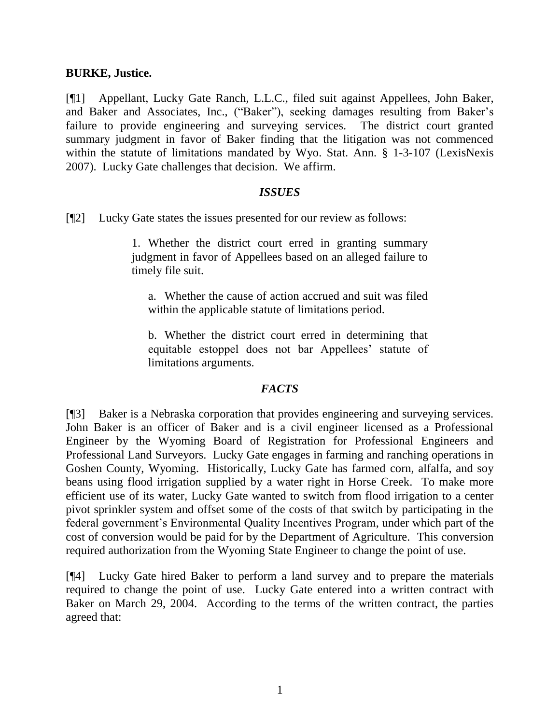#### **BURKE, Justice.**

[¶1] Appellant, Lucky Gate Ranch, L.L.C., filed suit against Appellees, John Baker, and Baker and Associates, Inc., ("Baker"), seeking damages resulting from Baker"s failure to provide engineering and surveying services. The district court granted summary judgment in favor of Baker finding that the litigation was not commenced within the statute of limitations mandated by Wyo. Stat. Ann. § 1-3-107 (LexisNexis 2007). Lucky Gate challenges that decision. We affirm.

#### *ISSUES*

[¶2] Lucky Gate states the issues presented for our review as follows:

1. Whether the district court erred in granting summary judgment in favor of Appellees based on an alleged failure to timely file suit.

a. Whether the cause of action accrued and suit was filed within the applicable statute of limitations period.

b. Whether the district court erred in determining that equitable estoppel does not bar Appellees" statute of limitations arguments.

#### *FACTS*

[¶3] Baker is a Nebraska corporation that provides engineering and surveying services. John Baker is an officer of Baker and is a civil engineer licensed as a Professional Engineer by the Wyoming Board of Registration for Professional Engineers and Professional Land Surveyors. Lucky Gate engages in farming and ranching operations in Goshen County, Wyoming. Historically, Lucky Gate has farmed corn, alfalfa, and soy beans using flood irrigation supplied by a water right in Horse Creek. To make more efficient use of its water, Lucky Gate wanted to switch from flood irrigation to a center pivot sprinkler system and offset some of the costs of that switch by participating in the federal government's Environmental Quality Incentives Program, under which part of the cost of conversion would be paid for by the Department of Agriculture. This conversion required authorization from the Wyoming State Engineer to change the point of use.

[¶4] Lucky Gate hired Baker to perform a land survey and to prepare the materials required to change the point of use. Lucky Gate entered into a written contract with Baker on March 29, 2004. According to the terms of the written contract, the parties agreed that: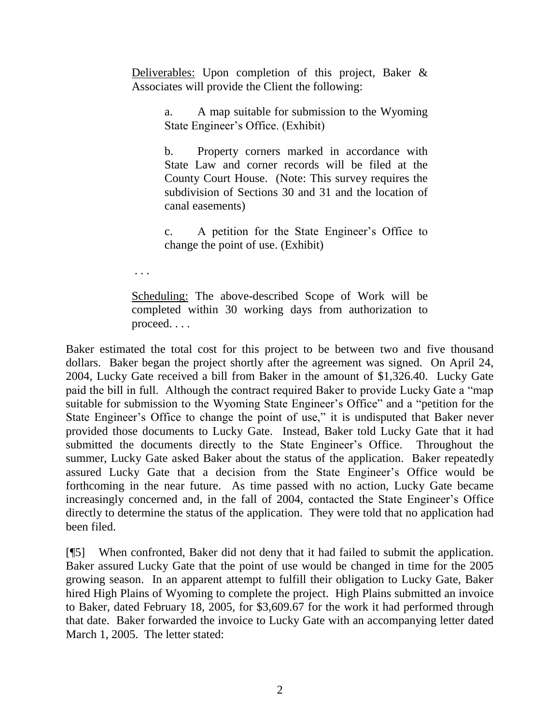Deliverables: Upon completion of this project, Baker & Associates will provide the Client the following:

> a. A map suitable for submission to the Wyoming State Engineer"s Office. (Exhibit)

> b. Property corners marked in accordance with State Law and corner records will be filed at the County Court House. (Note: This survey requires the subdivision of Sections 30 and 31 and the location of canal easements)

> c. A petition for the State Engineer"s Office to change the point of use. (Exhibit)

. . .

Scheduling: The above-described Scope of Work will be completed within 30 working days from authorization to proceed. . . .

Baker estimated the total cost for this project to be between two and five thousand dollars. Baker began the project shortly after the agreement was signed. On April 24, 2004, Lucky Gate received a bill from Baker in the amount of \$1,326.40. Lucky Gate paid the bill in full. Although the contract required Baker to provide Lucky Gate a "map suitable for submission to the Wyoming State Engineer's Office" and a "petition for the State Engineer's Office to change the point of use," it is undisputed that Baker never provided those documents to Lucky Gate. Instead, Baker told Lucky Gate that it had submitted the documents directly to the State Engineer's Office. Throughout the summer, Lucky Gate asked Baker about the status of the application. Baker repeatedly assured Lucky Gate that a decision from the State Engineer"s Office would be forthcoming in the near future. As time passed with no action, Lucky Gate became increasingly concerned and, in the fall of 2004, contacted the State Engineer's Office directly to determine the status of the application. They were told that no application had been filed.

[¶5] When confronted, Baker did not deny that it had failed to submit the application. Baker assured Lucky Gate that the point of use would be changed in time for the 2005 growing season. In an apparent attempt to fulfill their obligation to Lucky Gate, Baker hired High Plains of Wyoming to complete the project. High Plains submitted an invoice to Baker, dated February 18, 2005, for \$3,609.67 for the work it had performed through that date. Baker forwarded the invoice to Lucky Gate with an accompanying letter dated March 1, 2005. The letter stated: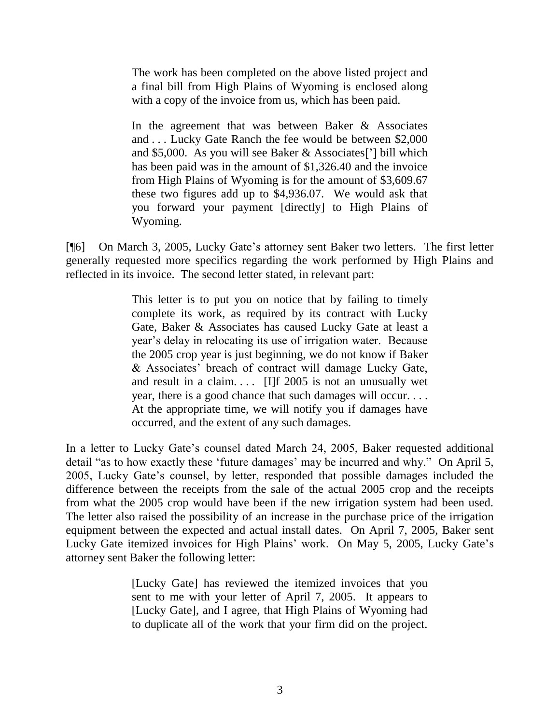The work has been completed on the above listed project and a final bill from High Plains of Wyoming is enclosed along with a copy of the invoice from us, which has been paid.

In the agreement that was between Baker & Associates and . . . Lucky Gate Ranch the fee would be between \$2,000 and \$5,000. As you will see Baker & Associates["] bill which has been paid was in the amount of \$1,326.40 and the invoice from High Plains of Wyoming is for the amount of \$3,609.67 these two figures add up to \$4,936.07. We would ask that you forward your payment [directly] to High Plains of Wyoming.

[¶6] On March 3, 2005, Lucky Gate"s attorney sent Baker two letters. The first letter generally requested more specifics regarding the work performed by High Plains and reflected in its invoice. The second letter stated, in relevant part:

> This letter is to put you on notice that by failing to timely complete its work, as required by its contract with Lucky Gate, Baker & Associates has caused Lucky Gate at least a year"s delay in relocating its use of irrigation water. Because the 2005 crop year is just beginning, we do not know if Baker & Associates" breach of contract will damage Lucky Gate, and result in a claim....  $[I]$   $f$  2005 is not an unusually wet year, there is a good chance that such damages will occur. . . . At the appropriate time, we will notify you if damages have occurred, and the extent of any such damages.

In a letter to Lucky Gate's counsel dated March 24, 2005, Baker requested additional detail "as to how exactly these 'future damages' may be incurred and why." On April 5, 2005, Lucky Gate"s counsel, by letter, responded that possible damages included the difference between the receipts from the sale of the actual 2005 crop and the receipts from what the 2005 crop would have been if the new irrigation system had been used. The letter also raised the possibility of an increase in the purchase price of the irrigation equipment between the expected and actual install dates. On April 7, 2005, Baker sent Lucky Gate itemized invoices for High Plains' work. On May 5, 2005, Lucky Gate's attorney sent Baker the following letter:

> [Lucky Gate] has reviewed the itemized invoices that you sent to me with your letter of April 7, 2005. It appears to [Lucky Gate], and I agree, that High Plains of Wyoming had to duplicate all of the work that your firm did on the project.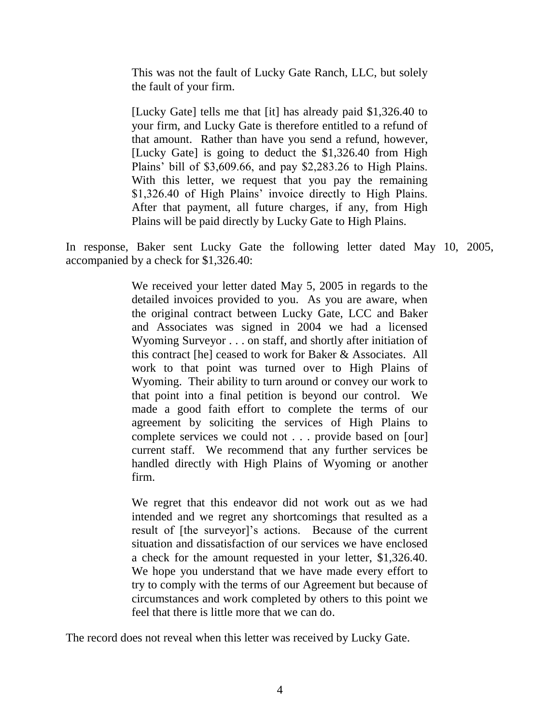This was not the fault of Lucky Gate Ranch, LLC, but solely the fault of your firm.

[Lucky Gate] tells me that [it] has already paid \$1,326.40 to your firm, and Lucky Gate is therefore entitled to a refund of that amount. Rather than have you send a refund, however, [Lucky Gate] is going to deduct the \$1,326.40 from High Plains" bill of \$3,609.66, and pay \$2,283.26 to High Plains. With this letter, we request that you pay the remaining \$1,326.40 of High Plains' invoice directly to High Plains. After that payment, all future charges, if any, from High Plains will be paid directly by Lucky Gate to High Plains.

In response, Baker sent Lucky Gate the following letter dated May 10, 2005, accompanied by a check for \$1,326.40:

> We received your letter dated May 5, 2005 in regards to the detailed invoices provided to you. As you are aware, when the original contract between Lucky Gate, LCC and Baker and Associates was signed in 2004 we had a licensed Wyoming Surveyor . . . on staff, and shortly after initiation of this contract [he] ceased to work for Baker & Associates. All work to that point was turned over to High Plains of Wyoming. Their ability to turn around or convey our work to that point into a final petition is beyond our control. We made a good faith effort to complete the terms of our agreement by soliciting the services of High Plains to complete services we could not . . . provide based on [our] current staff. We recommend that any further services be handled directly with High Plains of Wyoming or another firm.

> We regret that this endeavor did not work out as we had intended and we regret any shortcomings that resulted as a result of [the surveyor]"s actions. Because of the current situation and dissatisfaction of our services we have enclosed a check for the amount requested in your letter, \$1,326.40. We hope you understand that we have made every effort to try to comply with the terms of our Agreement but because of circumstances and work completed by others to this point we feel that there is little more that we can do.

The record does not reveal when this letter was received by Lucky Gate.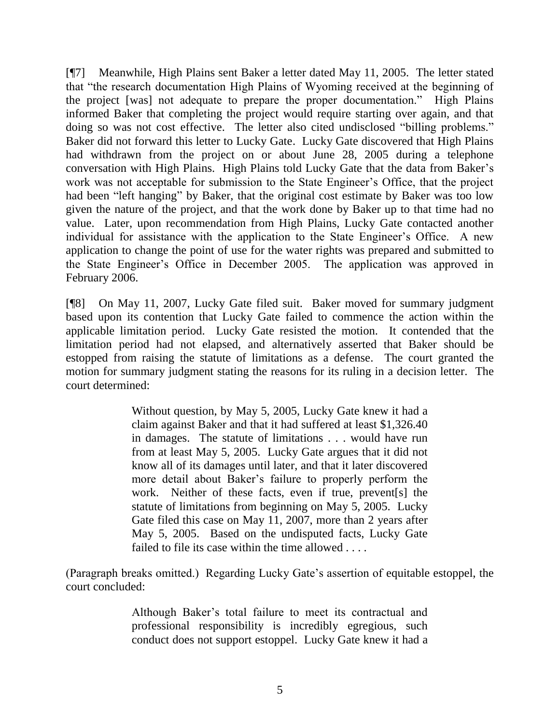[¶7] Meanwhile, High Plains sent Baker a letter dated May 11, 2005. The letter stated that "the research documentation High Plains of Wyoming received at the beginning of the project [was] not adequate to prepare the proper documentation." High Plains informed Baker that completing the project would require starting over again, and that doing so was not cost effective. The letter also cited undisclosed "billing problems." Baker did not forward this letter to Lucky Gate. Lucky Gate discovered that High Plains had withdrawn from the project on or about June 28, 2005 during a telephone conversation with High Plains. High Plains told Lucky Gate that the data from Baker"s work was not acceptable for submission to the State Engineer"s Office, that the project had been "left hanging" by Baker, that the original cost estimate by Baker was too low given the nature of the project, and that the work done by Baker up to that time had no value. Later, upon recommendation from High Plains, Lucky Gate contacted another individual for assistance with the application to the State Engineer's Office. A new application to change the point of use for the water rights was prepared and submitted to the State Engineer"s Office in December 2005. The application was approved in February 2006.

[¶8] On May 11, 2007, Lucky Gate filed suit. Baker moved for summary judgment based upon its contention that Lucky Gate failed to commence the action within the applicable limitation period. Lucky Gate resisted the motion. It contended that the limitation period had not elapsed, and alternatively asserted that Baker should be estopped from raising the statute of limitations as a defense. The court granted the motion for summary judgment stating the reasons for its ruling in a decision letter. The court determined:

> Without question, by May 5, 2005, Lucky Gate knew it had a claim against Baker and that it had suffered at least \$1,326.40 in damages. The statute of limitations . . . would have run from at least May 5, 2005. Lucky Gate argues that it did not know all of its damages until later, and that it later discovered more detail about Baker"s failure to properly perform the work. Neither of these facts, even if true, prevent[s] the statute of limitations from beginning on May 5, 2005. Lucky Gate filed this case on May 11, 2007, more than 2 years after May 5, 2005. Based on the undisputed facts, Lucky Gate failed to file its case within the time allowed . . . .

(Paragraph breaks omitted.) Regarding Lucky Gate"s assertion of equitable estoppel, the court concluded:

> Although Baker"s total failure to meet its contractual and professional responsibility is incredibly egregious, such conduct does not support estoppel. Lucky Gate knew it had a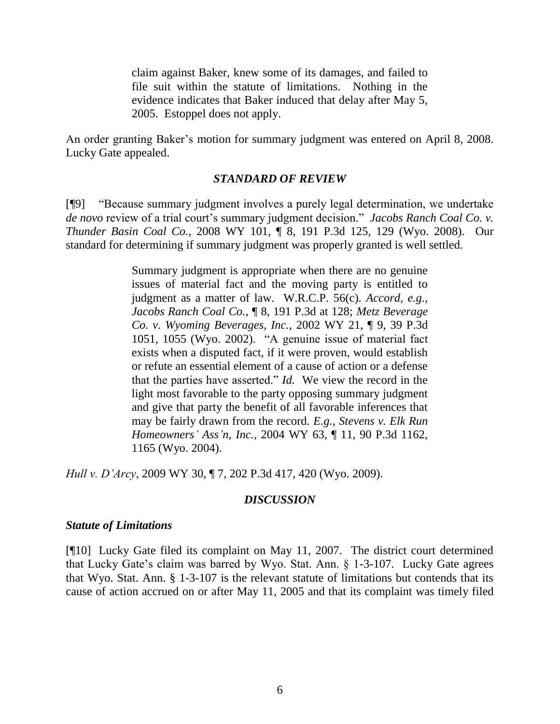claim against Baker, knew some of its damages, and failed to file suit within the statute of limitations. Nothing in the evidence indicates that Baker induced that delay after May 5, 2005. Estoppel does not apply.

An order granting Baker"s motion for summary judgment was entered on April 8, 2008. Lucky Gate appealed.

#### *STANDARD OF REVIEW*

[¶9] "Because summary judgment involves a purely legal determination, we undertake de novo review of a trial court's summary judgment decision." *Jacobs Ranch Coal Co. v. Thunder Basin Coal Co.*, 2008 WY 101, ¶ 8, 191 P.3d 125, 129 (Wyo. 2008). Our standard for determining if summary judgment was properly granted is well settled.

> Summary judgment is appropriate when there are no genuine issues of material fact and the moving party is entitled to judgment as a matter of law. W.R.C.P. 56(c). *Accord*, *e.g.*, *Jacobs Ranch Coal Co.*, ¶ 8, 191 P.3d at 128; *Metz Beverage Co. v. Wyoming Beverages, Inc.*, 2002 WY 21, ¶ 9, 39 P.3d 1051, 1055 (Wyo. 2002). "A genuine issue of material fact exists when a disputed fact, if it were proven, would establish or refute an essential element of a cause of action or a defense that the parties have asserted." *Id.* We view the record in the light most favorable to the party opposing summary judgment and give that party the benefit of all favorable inferences that may be fairly drawn from the record. *E.g.*, *Stevens v. Elk Run Homeowners' Ass'n, Inc.*, 2004 WY 63, ¶ 11, 90 P.3d 1162, 1165 (Wyo. 2004).

*Hull v. D'Arcy*, 2009 WY 30, ¶ 7, 202 P.3d 417, 420 (Wyo. 2009).

#### *DISCUSSION*

#### *Statute of Limitations*

[¶10] Lucky Gate filed its complaint on May 11, 2007. The district court determined that Lucky Gate's claim was barred by Wyo. Stat. Ann. § 1-3-107. Lucky Gate agrees that Wyo. Stat. Ann. § 1-3-107 is the relevant statute of limitations but contends that its cause of action accrued on or after May 11, 2005 and that its complaint was timely filed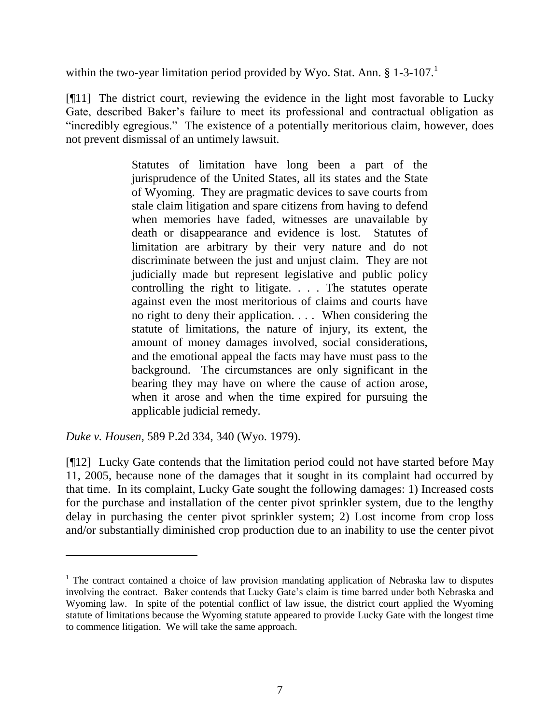within the two-year limitation period provided by Wyo. Stat. Ann.  $\S 1$ -3-107.<sup>1</sup>

[¶11] The district court, reviewing the evidence in the light most favorable to Lucky Gate, described Baker"s failure to meet its professional and contractual obligation as "incredibly egregious." The existence of a potentially meritorious claim, however, does not prevent dismissal of an untimely lawsuit.

> Statutes of limitation have long been a part of the jurisprudence of the United States, all its states and the State of Wyoming. They are pragmatic devices to save courts from stale claim litigation and spare citizens from having to defend when memories have faded, witnesses are unavailable by death or disappearance and evidence is lost. Statutes of limitation are arbitrary by their very nature and do not discriminate between the just and unjust claim. They are not judicially made but represent legislative and public policy controlling the right to litigate. . . . The statutes operate against even the most meritorious of claims and courts have no right to deny their application. . . . When considering the statute of limitations, the nature of injury, its extent, the amount of money damages involved, social considerations, and the emotional appeal the facts may have must pass to the background. The circumstances are only significant in the bearing they may have on where the cause of action arose, when it arose and when the time expired for pursuing the applicable judicial remedy.

*Duke v. Housen*, 589 P.2d 334, 340 (Wyo. 1979).

 $\overline{a}$ 

[¶12] Lucky Gate contends that the limitation period could not have started before May 11, 2005, because none of the damages that it sought in its complaint had occurred by that time. In its complaint, Lucky Gate sought the following damages: 1) Increased costs for the purchase and installation of the center pivot sprinkler system, due to the lengthy delay in purchasing the center pivot sprinkler system; 2) Lost income from crop loss and/or substantially diminished crop production due to an inability to use the center pivot

 $1$  The contract contained a choice of law provision mandating application of Nebraska law to disputes involving the contract. Baker contends that Lucky Gate's claim is time barred under both Nebraska and Wyoming law. In spite of the potential conflict of law issue, the district court applied the Wyoming statute of limitations because the Wyoming statute appeared to provide Lucky Gate with the longest time to commence litigation. We will take the same approach.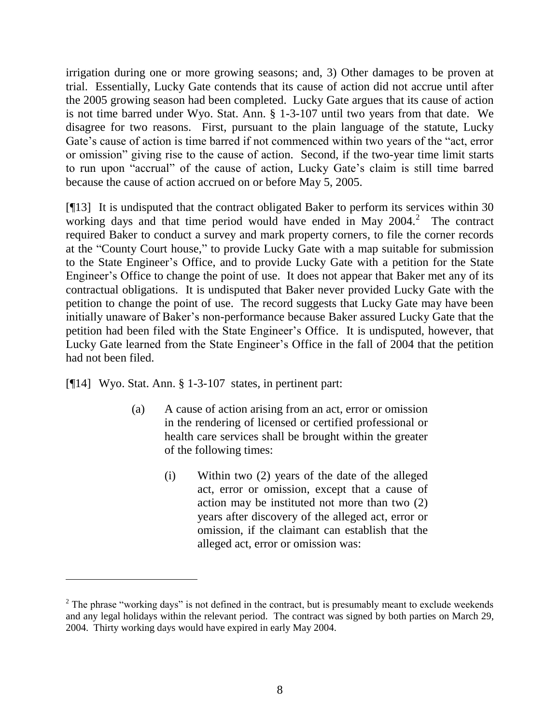irrigation during one or more growing seasons; and, 3) Other damages to be proven at trial. Essentially, Lucky Gate contends that its cause of action did not accrue until after the 2005 growing season had been completed. Lucky Gate argues that its cause of action is not time barred under Wyo. Stat. Ann. § 1-3-107 until two years from that date. We disagree for two reasons. First, pursuant to the plain language of the statute, Lucky Gate's cause of action is time barred if not commenced within two years of the "act, error or omission" giving rise to the cause of action. Second, if the two-year time limit starts to run upon "accrual" of the cause of action, Lucky Gate"s claim is still time barred because the cause of action accrued on or before May 5, 2005.

[¶13] It is undisputed that the contract obligated Baker to perform its services within 30 working days and that time period would have ended in May  $2004$ .<sup>2</sup> The contract required Baker to conduct a survey and mark property corners, to file the corner records at the "County Court house," to provide Lucky Gate with a map suitable for submission to the State Engineer"s Office, and to provide Lucky Gate with a petition for the State Engineer's Office to change the point of use. It does not appear that Baker met any of its contractual obligations. It is undisputed that Baker never provided Lucky Gate with the petition to change the point of use. The record suggests that Lucky Gate may have been initially unaware of Baker's non-performance because Baker assured Lucky Gate that the petition had been filed with the State Engineer"s Office. It is undisputed, however, that Lucky Gate learned from the State Engineer"s Office in the fall of 2004 that the petition had not been filed.

[¶14] Wyo. Stat. Ann. § 1-3-107 states, in pertinent part:

 $\overline{a}$ 

- (a) A cause of action arising from an act, error or omission in the rendering of licensed or certified professional or health care services shall be brought within the greater of the following times:
	- (i) Within two (2) years of the date of the alleged act, error or omission, except that a cause of action may be instituted not more than two (2) years after discovery of the alleged act, error or omission, if the claimant can establish that the alleged act, error or omission was:

 $2$  The phrase "working days" is not defined in the contract, but is presumably meant to exclude weekends and any legal holidays within the relevant period. The contract was signed by both parties on March 29, 2004. Thirty working days would have expired in early May 2004.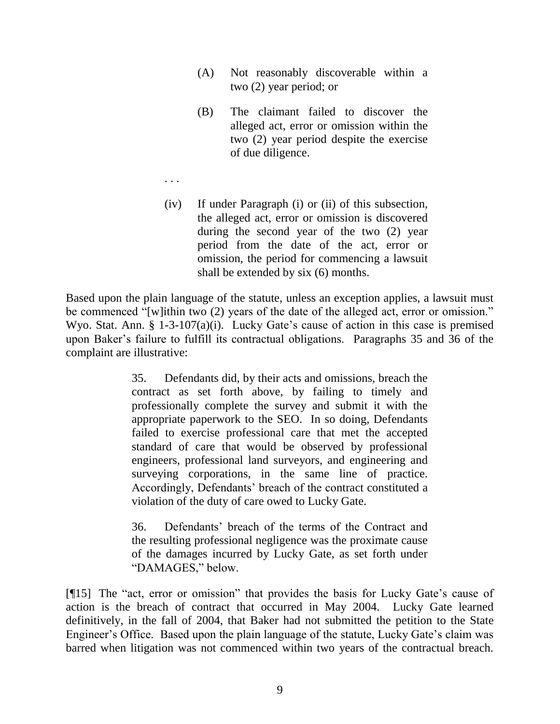- (A) Not reasonably discoverable within a two (2) year period; or
- (B) The claimant failed to discover the alleged act, error or omission within the two (2) year period despite the exercise of due diligence.
- . . .
- (iv) If under Paragraph (i) or (ii) of this subsection, the alleged act, error or omission is discovered during the second year of the two (2) year period from the date of the act, error or omission, the period for commencing a lawsuit shall be extended by six (6) months.

Based upon the plain language of the statute, unless an exception applies, a lawsuit must be commenced "[w]ithin two (2) years of the date of the alleged act, error or omission." Wyo. Stat. Ann. § 1-3-107(a)(i). Lucky Gate's cause of action in this case is premised upon Baker"s failure to fulfill its contractual obligations. Paragraphs 35 and 36 of the complaint are illustrative:

> 35. Defendants did, by their acts and omissions, breach the contract as set forth above, by failing to timely and professionally complete the survey and submit it with the appropriate paperwork to the SEO. In so doing, Defendants failed to exercise professional care that met the accepted standard of care that would be observed by professional engineers, professional land surveyors, and engineering and surveying corporations, in the same line of practice. Accordingly, Defendants" breach of the contract constituted a violation of the duty of care owed to Lucky Gate.

> 36. Defendants" breach of the terms of the Contract and the resulting professional negligence was the proximate cause of the damages incurred by Lucky Gate, as set forth under "DAMAGES," below.

[¶15] The "act, error or omission" that provides the basis for Lucky Gate"s cause of action is the breach of contract that occurred in May 2004. Lucky Gate learned definitively, in the fall of 2004, that Baker had not submitted the petition to the State Engineer's Office. Based upon the plain language of the statute, Lucky Gate's claim was barred when litigation was not commenced within two years of the contractual breach.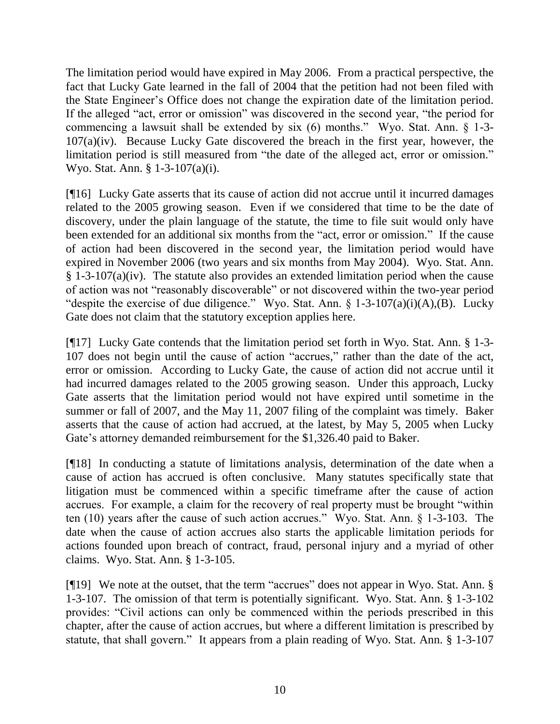The limitation period would have expired in May 2006. From a practical perspective, the fact that Lucky Gate learned in the fall of 2004 that the petition had not been filed with the State Engineer"s Office does not change the expiration date of the limitation period. If the alleged "act, error or omission" was discovered in the second year, "the period for commencing a lawsuit shall be extended by six (6) months." Wyo. Stat. Ann. § 1-3- 107(a)(iv). Because Lucky Gate discovered the breach in the first year, however, the limitation period is still measured from "the date of the alleged act, error or omission." Wyo. Stat. Ann. § 1-3-107(a)(i).

[¶16] Lucky Gate asserts that its cause of action did not accrue until it incurred damages related to the 2005 growing season. Even if we considered that time to be the date of discovery, under the plain language of the statute, the time to file suit would only have been extended for an additional six months from the "act, error or omission." If the cause of action had been discovered in the second year, the limitation period would have expired in November 2006 (two years and six months from May 2004). Wyo. Stat. Ann. § 1-3-107(a)(iv). The statute also provides an extended limitation period when the cause of action was not "reasonably discoverable" or not discovered within the two-year period "despite the exercise of due diligence." Wyo. Stat. Ann.  $\S$  1-3-107(a)(i)(A),(B). Lucky Gate does not claim that the statutory exception applies here.

[¶17] Lucky Gate contends that the limitation period set forth in Wyo. Stat. Ann. § 1-3- 107 does not begin until the cause of action "accrues," rather than the date of the act, error or omission. According to Lucky Gate, the cause of action did not accrue until it had incurred damages related to the 2005 growing season. Under this approach, Lucky Gate asserts that the limitation period would not have expired until sometime in the summer or fall of 2007, and the May 11, 2007 filing of the complaint was timely. Baker asserts that the cause of action had accrued, at the latest, by May 5, 2005 when Lucky Gate's attorney demanded reimbursement for the \$1,326.40 paid to Baker.

[¶18] In conducting a statute of limitations analysis, determination of the date when a cause of action has accrued is often conclusive. Many statutes specifically state that litigation must be commenced within a specific timeframe after the cause of action accrues. For example, a claim for the recovery of real property must be brought "within ten (10) years after the cause of such action accrues." Wyo. Stat. Ann. § 1-3-103. The date when the cause of action accrues also starts the applicable limitation periods for actions founded upon breach of contract, fraud, personal injury and a myriad of other claims. Wyo. Stat. Ann. § 1-3-105.

[¶19] We note at the outset, that the term "accrues" does not appear in Wyo. Stat. Ann. § 1-3-107. The omission of that term is potentially significant. Wyo. Stat. Ann. § 1-3-102 provides: "Civil actions can only be commenced within the periods prescribed in this chapter, after the cause of action accrues, but where a different limitation is prescribed by statute, that shall govern." It appears from a plain reading of Wyo. Stat. Ann. § 1-3-107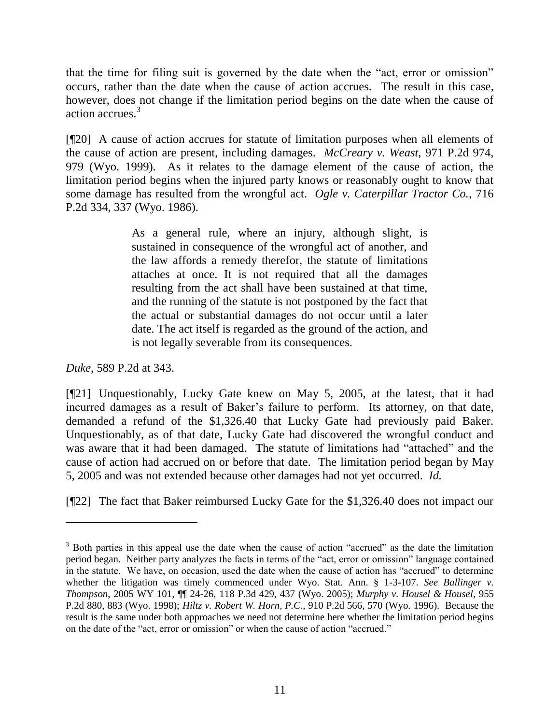that the time for filing suit is governed by the date when the "act, error or omission" occurs, rather than the date when the cause of action accrues. The result in this case, however, does not change if the limitation period begins on the date when the cause of action accrues.<sup>3</sup>

[¶20] A cause of action accrues for statute of limitation purposes when all elements of the cause of action are present, including damages. *McCreary v. Weast*, 971 P.2d 974, 979 (Wyo. 1999). As it relates to the damage element of the cause of action, the limitation period begins when the injured party knows or reasonably ought to know that some damage has resulted from the wrongful act. *Ogle v. Caterpillar Tractor Co.*, 716 P.2d 334, 337 (Wyo. 1986).

> As a general rule, where an injury, although slight, is sustained in consequence of the wrongful act of another, and the law affords a remedy therefor, the statute of limitations attaches at once. It is not required that all the damages resulting from the act shall have been sustained at that time, and the running of the statute is not postponed by the fact that the actual or substantial damages do not occur until a later date. The act itself is regarded as the ground of the action, and is not legally severable from its consequences.

*Duke*[, 589 P.2d at](http://www.lexis.com/research/xlink?app=00075&view=full&searchtype=get&search=589+P.2d+343) 343.

 $\overline{a}$ 

[¶21] Unquestionably, Lucky Gate knew on May 5, 2005, at the latest, that it had incurred damages as a result of Baker's failure to perform. Its attorney, on that date, demanded a refund of the \$1,326.40 that Lucky Gate had previously paid Baker. Unquestionably, as of that date, Lucky Gate had discovered the wrongful conduct and was aware that it had been damaged. The statute of limitations had "attached" and the cause of action had accrued on or before that date. The limitation period began by May 5, 2005 and was not extended because other damages had not yet occurred. *Id.*

[¶22] The fact that Baker reimbursed Lucky Gate for the \$1,326.40 does not impact our

<sup>&</sup>lt;sup>3</sup> Both parties in this appeal use the date when the cause of action "accrued" as the date the limitation period began. Neither party analyzes the facts in terms of the "act, error or omission" language contained in the statute. We have, on occasion, used the date when the cause of action has "accrued" to determine whether the litigation was timely commenced under Wyo. Stat. Ann. § 1-3-107. *See Ballinger v. Thompson*, 2005 WY 101, ¶¶ 24-26, 118 P.3d 429, 437 (Wyo. 2005); *Murphy v. Housel & Housel*, 955 P.2d 880, 883 (Wyo. 1998); *Hiltz v. Robert W. Horn, P.C.*, 910 P.2d 566, 570 (Wyo. 1996). Because the result is the same under both approaches we need not determine here whether the limitation period begins on the date of the "act, error or omission" or when the cause of action "accrued."